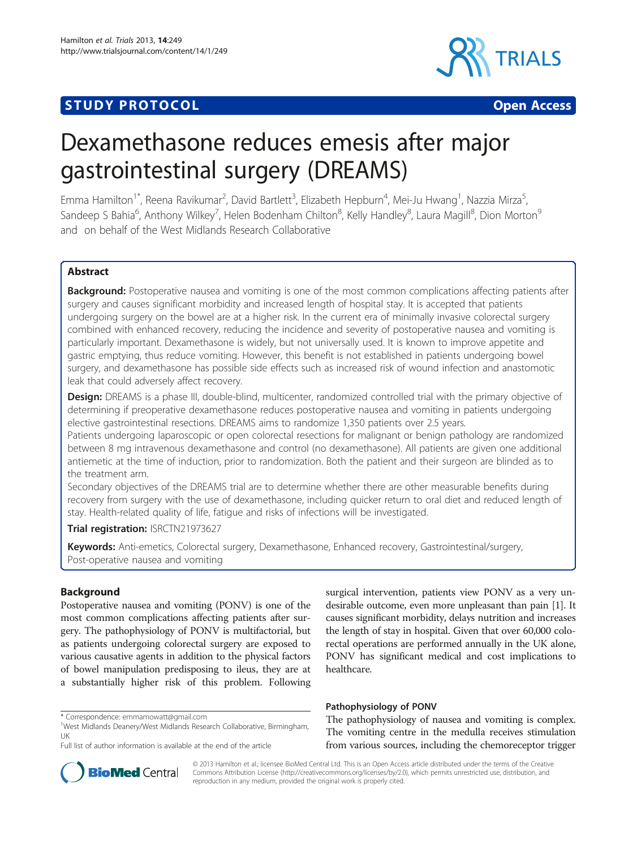## **STUDY PROTOCOL CONSUMING THE CONSUMING OPEN ACCESS**



# Dexamethasone reduces emesis after major gastrointestinal surgery (DREAMS)

Emma Hamilton<sup>1\*</sup>, Reena Ravikumar<sup>2</sup>, David Bartlett<sup>3</sup>, Elizabeth Hepburn<sup>4</sup>, Mei-Ju Hwang<sup>1</sup>, Nazzia Mirza<sup>5</sup> , Sandeep S Bahia<sup>6</sup>, Anthony Wilkey<sup>7</sup>, Helen Bodenham Chilton<sup>8</sup>, Kelly Handley<sup>8</sup>, Laura Magill<sup>8</sup>, Dion Morton<sup>s</sup> and on behalf of the West Midlands Research Collaborative

#### Abstract

**Background:** Postoperative nausea and vomiting is one of the most common complications affecting patients after surgery and causes significant morbidity and increased length of hospital stay. It is accepted that patients undergoing surgery on the bowel are at a higher risk. In the current era of minimally invasive colorectal surgery combined with enhanced recovery, reducing the incidence and severity of postoperative nausea and vomiting is particularly important. Dexamethasone is widely, but not universally used. It is known to improve appetite and gastric emptying, thus reduce vomiting. However, this benefit is not established in patients undergoing bowel surgery, and dexamethasone has possible side effects such as increased risk of wound infection and anastomotic leak that could adversely affect recovery.

Design: DREAMS is a phase III, double-blind, multicenter, randomized controlled trial with the primary objective of determining if preoperative dexamethasone reduces postoperative nausea and vomiting in patients undergoing elective gastrointestinal resections. DREAMS aims to randomize 1,350 patients over 2.5 years.

Patients undergoing laparoscopic or open colorectal resections for malignant or benign pathology are randomized between 8 mg intravenous dexamethasone and control (no dexamethasone). All patients are given one additional antiemetic at the time of induction, prior to randomization. Both the patient and their surgeon are blinded as to the treatment arm.

Secondary objectives of the DREAMS trial are to determine whether there are other measurable benefits during recovery from surgery with the use of dexamethasone, including quicker return to oral diet and reduced length of stay. Health-related quality of life, fatigue and risks of infections will be investigated.

#### Trial registration: [ISRCTN21973627](http://www.controlled-trials.com/ISRCTN21973627/21973627)

Keywords: Anti-emetics, Colorectal surgery, Dexamethasone, Enhanced recovery, Gastrointestinal/surgery, Post-operative nausea and vomiting

#### Background

Postoperative nausea and vomiting (PONV) is one of the most common complications affecting patients after surgery. The pathophysiology of PONV is multifactorial, but as patients undergoing colorectal surgery are exposed to various causative agents in addition to the physical factors of bowel manipulation predisposing to ileus, they are at a substantially higher risk of this problem. Following

surgical intervention, patients view PONV as a very undesirable outcome, even more unpleasant than pain [\[1](#page-6-0)]. It causes significant morbidity, delays nutrition and increases the length of stay in hospital. Given that over 60,000 colorectal operations are performed annually in the UK alone, PONV has significant medical and cost implications to healthcare.

#### Pathophysiology of PONV

The pathophysiology of nausea and vomiting is complex. The vomiting centre in the medulla receives stimulation from various sources, including the chemoreceptor trigger



© 2013 Hamilton et al.; licensee BioMed Central Ltd. This is an Open Access article distributed under the terms of the Creative Commons Attribution License [\(http://creativecommons.org/licenses/by/2.0\)](http://creativecommons.org/licenses/by/2.0), which permits unrestricted use, distribution, and reproduction in any medium, provided the original work is properly cited.

<sup>\*</sup> Correspondence: [emmamowatt@gmail.com](mailto:emmamowatt@gmail.com) <sup>1</sup>

<sup>&</sup>lt;sup>1</sup>West Midlands Deanery/West Midlands Research Collaborative, Birmingham, UK

Full list of author information is available at the end of the article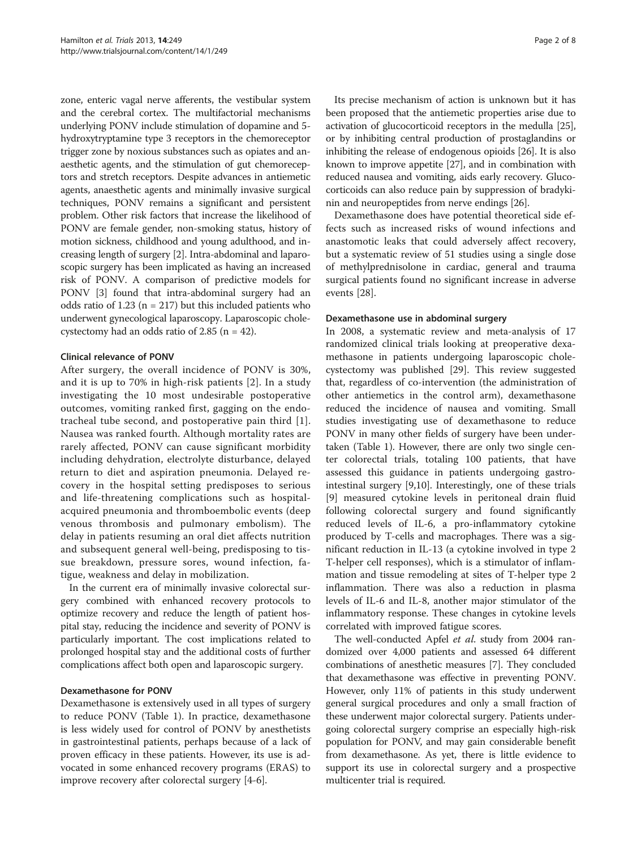zone, enteric vagal nerve afferents, the vestibular system and the cerebral cortex. The multifactorial mechanisms underlying PONV include stimulation of dopamine and 5 hydroxytryptamine type 3 receptors in the chemoreceptor trigger zone by noxious substances such as opiates and anaesthetic agents, and the stimulation of gut chemoreceptors and stretch receptors. Despite advances in antiemetic agents, anaesthetic agents and minimally invasive surgical techniques, PONV remains a significant and persistent problem. Other risk factors that increase the likelihood of PONV are female gender, non-smoking status, history of motion sickness, childhood and young adulthood, and increasing length of surgery [[2\]](#page-6-0). Intra-abdominal and laparoscopic surgery has been implicated as having an increased risk of PONV. A comparison of predictive models for PONV [[3](#page-6-0)] found that intra-abdominal surgery had an odds ratio of  $1.23$  (n = 217) but this included patients who underwent gynecological laparoscopy. Laparoscopic cholecystectomy had an odds ratio of 2.85 (n = 42).

#### Clinical relevance of PONV

After surgery, the overall incidence of PONV is 30%, and it is up to 70% in high-risk patients [[2\]](#page-6-0). In a study investigating the 10 most undesirable postoperative outcomes, vomiting ranked first, gagging on the endotracheal tube second, and postoperative pain third [[1](#page-6-0)]. Nausea was ranked fourth. Although mortality rates are rarely affected, PONV can cause significant morbidity including dehydration, electrolyte disturbance, delayed return to diet and aspiration pneumonia. Delayed recovery in the hospital setting predisposes to serious and life-threatening complications such as hospitalacquired pneumonia and thromboembolic events (deep venous thrombosis and pulmonary embolism). The delay in patients resuming an oral diet affects nutrition and subsequent general well-being, predisposing to tissue breakdown, pressure sores, wound infection, fatigue, weakness and delay in mobilization.

In the current era of minimally invasive colorectal surgery combined with enhanced recovery protocols to optimize recovery and reduce the length of patient hospital stay, reducing the incidence and severity of PONV is particularly important. The cost implications related to prolonged hospital stay and the additional costs of further complications affect both open and laparoscopic surgery.

#### Dexamethasone for PONV

Dexamethasone is extensively used in all types of surgery to reduce PONV (Table [1\)](#page-2-0). In practice, dexamethasone is less widely used for control of PONV by anesthetists in gastrointestinal patients, perhaps because of a lack of proven efficacy in these patients. However, its use is advocated in some enhanced recovery programs (ERAS) to improve recovery after colorectal surgery [\[4](#page-6-0)-[6\]](#page-6-0).

Its precise mechanism of action is unknown but it has been proposed that the antiemetic properties arise due to activation of glucocorticoid receptors in the medulla [[25](#page-7-0)], or by inhibiting central production of prostaglandins or inhibiting the release of endogenous opioids [\[26\]](#page-7-0). It is also known to improve appetite [[27](#page-7-0)], and in combination with reduced nausea and vomiting, aids early recovery. Glucocorticoids can also reduce pain by suppression of bradykinin and neuropeptides from nerve endings [[26](#page-7-0)].

Dexamethasone does have potential theoretical side effects such as increased risks of wound infections and anastomotic leaks that could adversely affect recovery, but a systematic review of 51 studies using a single dose of methylprednisolone in cardiac, general and trauma surgical patients found no significant increase in adverse events [[28\]](#page-7-0).

#### Dexamethasone use in abdominal surgery

In 2008, a systematic review and meta-analysis of 17 randomized clinical trials looking at preoperative dexamethasone in patients undergoing laparoscopic cholecystectomy was published [[29\]](#page-7-0). This review suggested that, regardless of co-intervention (the administration of other antiemetics in the control arm), dexamethasone reduced the incidence of nausea and vomiting. Small studies investigating use of dexamethasone to reduce PONV in many other fields of surgery have been undertaken (Table [1](#page-2-0)). However, there are only two single center colorectal trials, totaling 100 patients, that have assessed this guidance in patients undergoing gastrointestinal surgery [\[9,10\]](#page-6-0). Interestingly, one of these trials [[9\]](#page-6-0) measured cytokine levels in peritoneal drain fluid following colorectal surgery and found significantly reduced levels of IL-6, a pro-inflammatory cytokine produced by T-cells and macrophages. There was a significant reduction in IL-13 (a cytokine involved in type 2 T-helper cell responses), which is a stimulator of inflammation and tissue remodeling at sites of T-helper type 2 inflammation. There was also a reduction in plasma levels of IL-6 and IL-8, another major stimulator of the inflammatory response. These changes in cytokine levels correlated with improved fatigue scores.

The well-conducted Apfel et al. study from 2004 randomized over 4,000 patients and assessed 64 different combinations of anesthetic measures [\[7](#page-6-0)]. They concluded that dexamethasone was effective in preventing PONV. However, only 11% of patients in this study underwent general surgical procedures and only a small fraction of these underwent major colorectal surgery. Patients undergoing colorectal surgery comprise an especially high-risk population for PONV, and may gain considerable benefit from dexamethasone. As yet, there is little evidence to support its use in colorectal surgery and a prospective multicenter trial is required.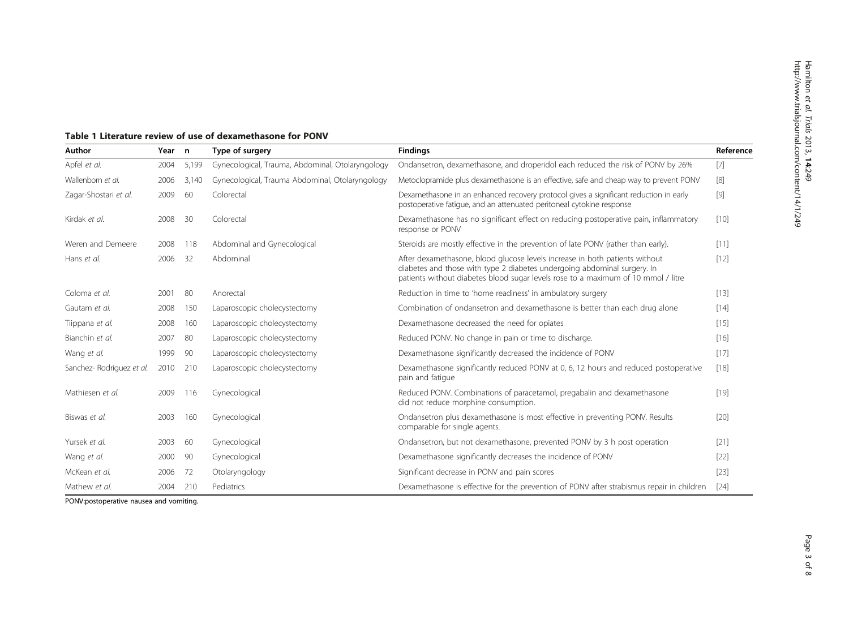| Author                   | Year n |       | Type of surgery                                  | <b>Findings</b>                                                                                                                                                                                                                              | Reference |
|--------------------------|--------|-------|--------------------------------------------------|----------------------------------------------------------------------------------------------------------------------------------------------------------------------------------------------------------------------------------------------|-----------|
| Apfel et al.             | 2004   | 5,199 | Gynecological, Trauma, Abdominal, Otolaryngology | Ondansetron, dexamethasone, and droperidol each reduced the risk of PONV by 26%                                                                                                                                                              | $[7]$     |
| Wallenborn et al.        | 2006   | 3,140 | Gynecological, Trauma Abdominal, Otolaryngology  | Metoclopramide plus dexamethasone is an effective, safe and cheap way to prevent PONV                                                                                                                                                        | [8]       |
| Zagar-Shostari et al.    | 2009   | 60    | Colorectal                                       | Dexamethasone in an enhanced recovery protocol gives a significant reduction in early<br>postoperative fatigue, and an attenuated peritoneal cytokine response                                                                               | $[9]$     |
| Kirdak et al.            | 2008   | 30    | Colorectal                                       | Dexamethasone has no significant effect on reducing postoperative pain, inflammatory<br>response or PONV                                                                                                                                     | [10]      |
| Weren and Demeere        | 2008   | 118   | Abdominal and Gynecological                      | Steroids are mostly effective in the prevention of late PONV (rather than early).                                                                                                                                                            | [11]      |
| Hans et al.              | 2006   | 32    | Abdominal                                        | After dexamethasone, blood glucose levels increase in both patients without<br>diabetes and those with type 2 diabetes undergoing abdominal surgery. In<br>patients without diabetes blood sugar levels rose to a maximum of 10 mmol / litre | $[12]$    |
| Coloma et al.            | 2001   | 80    | Anorectal                                        | Reduction in time to 'home readiness' in ambulatory surgery                                                                                                                                                                                  | $[13]$    |
| Gautam et al.            | 2008   | 150   | Laparoscopic cholecystectomy                     | Combination of ondansetron and dexamethasone is better than each drug alone                                                                                                                                                                  | $[14]$    |
| Tiippana et al.          | 2008   | 160   | Laparoscopic cholecystectomy                     | Dexamethasone decreased the need for opiates                                                                                                                                                                                                 | $[15]$    |
| Bianchin et al.          | 2007   | 80    | Laparoscopic cholecystectomy                     | Reduced PONV. No change in pain or time to discharge.                                                                                                                                                                                        | $[16]$    |
| Wang et al.              | 1999   | 90    | Laparoscopic cholecystectomy                     | Dexamethasone significantly decreased the incidence of PONV                                                                                                                                                                                  | [17]      |
| Sanchez-Rodriguez et al. | 2010   | 210   | Laparoscopic cholecystectomy                     | Dexamethasone significantly reduced PONV at 0, 6, 12 hours and reduced postoperative<br>pain and fatigue                                                                                                                                     | $[18]$    |
| Mathiesen et al.         | 2009   | 116   | Gynecological                                    | Reduced PONV. Combinations of paracetamol, pregabalin and dexamethasone<br>did not reduce morphine consumption.                                                                                                                              | $[19]$    |
| Biswas et al.            | 2003   | 160   | Gynecological                                    | Ondansetron plus dexamethasone is most effective in preventing PONV. Results<br>comparable for single agents.                                                                                                                                | $[20]$    |
| Yursek et al.            | 2003   | -60   | Gynecological                                    | Ondansetron, but not dexamethasone, prevented PONV by 3 h post operation                                                                                                                                                                     | [21]      |
| Wang et al.              | 2000   | 90    | Gynecological                                    | Dexamethasone significantly decreases the incidence of PONV                                                                                                                                                                                  | $[22]$    |
| McKean et al.            | 2006   | 72    | Otolaryngology                                   | Significant decrease in PONV and pain scores                                                                                                                                                                                                 | $[23]$    |
| Mathew et al.            | 2004   | 210   | Pediatrics                                       | Dexamethasone is effective for the prevention of PONV after strabismus repair in children                                                                                                                                                    | $[24]$    |

### <span id="page-2-0"></span>Table 1 Literature review of use of dexamethasone for PONV

PONV:postoperative nausea and vomiting.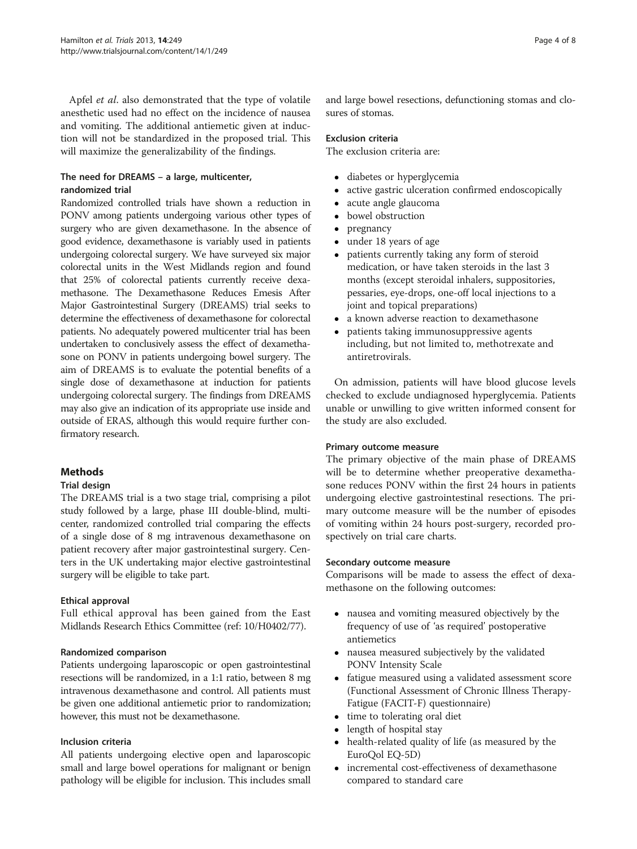Apfel et al. also demonstrated that the type of volatile anesthetic used had no effect on the incidence of nausea and vomiting. The additional antiemetic given at induction will not be standardized in the proposed trial. This will maximize the generalizability of the findings.

#### The need for DREAMS – a large, multicenter, randomized trial

Randomized controlled trials have shown a reduction in PONV among patients undergoing various other types of surgery who are given dexamethasone. In the absence of good evidence, dexamethasone is variably used in patients undergoing colorectal surgery. We have surveyed six major colorectal units in the West Midlands region and found that 25% of colorectal patients currently receive dexamethasone. The Dexamethasone Reduces Emesis After Major Gastrointestinal Surgery (DREAMS) trial seeks to determine the effectiveness of dexamethasone for colorectal patients. No adequately powered multicenter trial has been undertaken to conclusively assess the effect of dexamethasone on PONV in patients undergoing bowel surgery. The aim of DREAMS is to evaluate the potential benefits of a single dose of dexamethasone at induction for patients undergoing colorectal surgery. The findings from DREAMS may also give an indication of its appropriate use inside and outside of ERAS, although this would require further confirmatory research.

#### Methods

#### Trial design

The DREAMS trial is a two stage trial, comprising a pilot study followed by a large, phase III double-blind, multicenter, randomized controlled trial comparing the effects of a single dose of 8 mg intravenous dexamethasone on patient recovery after major gastrointestinal surgery. Centers in the UK undertaking major elective gastrointestinal surgery will be eligible to take part.

#### Ethical approval

Full ethical approval has been gained from the East Midlands Research Ethics Committee (ref: 10/H0402/77).

#### Randomized comparison

Patients undergoing laparoscopic or open gastrointestinal resections will be randomized, in a 1:1 ratio, between 8 mg intravenous dexamethasone and control. All patients must be given one additional antiemetic prior to randomization; however, this must not be dexamethasone.

#### Inclusion criteria

All patients undergoing elective open and laparoscopic small and large bowel operations for malignant or benign pathology will be eligible for inclusion. This includes small and large bowel resections, defunctioning stomas and closures of stomas.

#### Exclusion criteria

The exclusion criteria are:

- diabetes or hyperglycemia
- active gastric ulceration confirmed endoscopically
- acute angle glaucoma<br>• bowel obstruction
- bowel obstruction<br>• pregnancy
- pregnancy<br>• under  $18y$
- under 18 years of age
- patients currently taking any form of steroid medication, or have taken steroids in the last 3 months (except steroidal inhalers, suppositories, pessaries, eye-drops, one-off local injections to a joint and topical preparations)
- a known adverse reaction to dexamethasone
- patients taking immunosuppressive agents including, but not limited to, methotrexate and antiretrovirals.

On admission, patients will have blood glucose levels checked to exclude undiagnosed hyperglycemia. Patients unable or unwilling to give written informed consent for the study are also excluded.

#### Primary outcome measure

The primary objective of the main phase of DREAMS will be to determine whether preoperative dexamethasone reduces PONV within the first 24 hours in patients undergoing elective gastrointestinal resections. The primary outcome measure will be the number of episodes of vomiting within 24 hours post-surgery, recorded prospectively on trial care charts.

#### Secondary outcome measure

Comparisons will be made to assess the effect of dexamethasone on the following outcomes:

- nausea and vomiting measured objectively by the frequency of use of 'as required' postoperative antiemetics
- nausea measured subjectively by the validated PONV Intensity Scale
- fatigue measured using a validated assessment score (Functional Assessment of Chronic Illness Therapy-Fatigue (FACIT-F) questionnaire)
- time to tolerating oral diet
- length of hospital stay
- health-related quality of life (as measured by the EuroQol EQ-5D)
- incremental cost-effectiveness of dexamethasone compared to standard care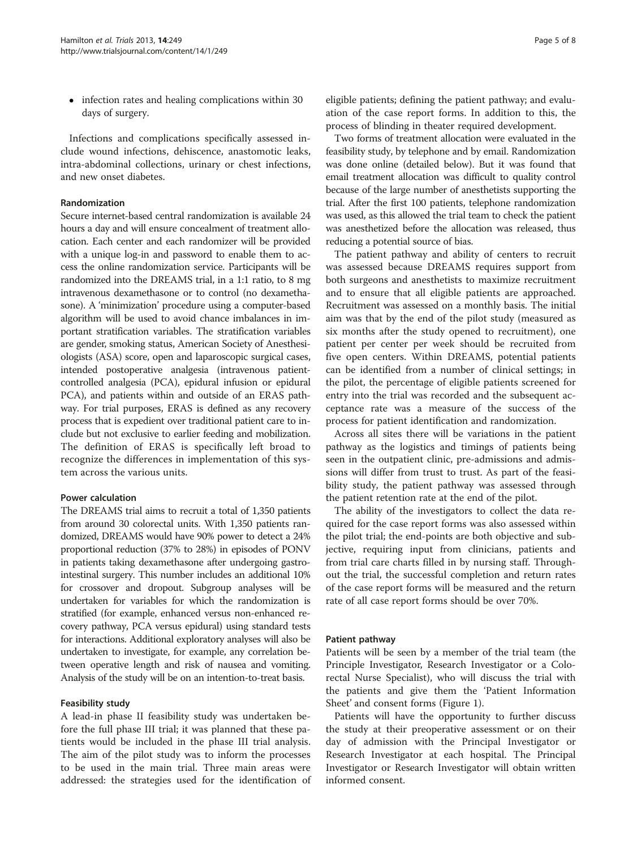• infection rates and healing complications within 30 days of surgery.

Infections and complications specifically assessed include wound infections, dehiscence, anastomotic leaks, intra-abdominal collections, urinary or chest infections, and new onset diabetes.

#### Randomization

Secure internet-based central randomization is available 24 hours a day and will ensure concealment of treatment allocation. Each center and each randomizer will be provided with a unique log-in and password to enable them to access the online randomization service. Participants will be randomized into the DREAMS trial, in a 1:1 ratio, to 8 mg intravenous dexamethasone or to control (no dexamethasone). A 'minimization' procedure using a computer-based algorithm will be used to avoid chance imbalances in important stratification variables. The stratification variables are gender, smoking status, American Society of Anesthesiologists (ASA) score, open and laparoscopic surgical cases, intended postoperative analgesia (intravenous patientcontrolled analgesia (PCA), epidural infusion or epidural PCA), and patients within and outside of an ERAS pathway. For trial purposes, ERAS is defined as any recovery process that is expedient over traditional patient care to include but not exclusive to earlier feeding and mobilization. The definition of ERAS is specifically left broad to recognize the differences in implementation of this system across the various units.

#### Power calculation

The DREAMS trial aims to recruit a total of 1,350 patients from around 30 colorectal units. With 1,350 patients randomized, DREAMS would have 90% power to detect a 24% proportional reduction (37% to 28%) in episodes of PONV in patients taking dexamethasone after undergoing gastrointestinal surgery. This number includes an additional 10% for crossover and dropout. Subgroup analyses will be undertaken for variables for which the randomization is stratified (for example, enhanced versus non-enhanced recovery pathway, PCA versus epidural) using standard tests for interactions. Additional exploratory analyses will also be undertaken to investigate, for example, any correlation between operative length and risk of nausea and vomiting. Analysis of the study will be on an intention-to-treat basis.

#### Feasibility study

A lead-in phase II feasibility study was undertaken before the full phase III trial; it was planned that these patients would be included in the phase III trial analysis. The aim of the pilot study was to inform the processes to be used in the main trial. Three main areas were addressed: the strategies used for the identification of eligible patients; defining the patient pathway; and evaluation of the case report forms. In addition to this, the process of blinding in theater required development.

Two forms of treatment allocation were evaluated in the feasibility study, by telephone and by email. Randomization was done online (detailed below). But it was found that email treatment allocation was difficult to quality control because of the large number of anesthetists supporting the trial. After the first 100 patients, telephone randomization was used, as this allowed the trial team to check the patient was anesthetized before the allocation was released, thus reducing a potential source of bias.

The patient pathway and ability of centers to recruit was assessed because DREAMS requires support from both surgeons and anesthetists to maximize recruitment and to ensure that all eligible patients are approached. Recruitment was assessed on a monthly basis. The initial aim was that by the end of the pilot study (measured as six months after the study opened to recruitment), one patient per center per week should be recruited from five open centers. Within DREAMS, potential patients can be identified from a number of clinical settings; in the pilot, the percentage of eligible patients screened for entry into the trial was recorded and the subsequent acceptance rate was a measure of the success of the process for patient identification and randomization.

Across all sites there will be variations in the patient pathway as the logistics and timings of patients being seen in the outpatient clinic, pre-admissions and admissions will differ from trust to trust. As part of the feasibility study, the patient pathway was assessed through the patient retention rate at the end of the pilot.

The ability of the investigators to collect the data required for the case report forms was also assessed within the pilot trial; the end-points are both objective and subjective, requiring input from clinicians, patients and from trial care charts filled in by nursing staff. Throughout the trial, the successful completion and return rates of the case report forms will be measured and the return rate of all case report forms should be over 70%.

#### Patient pathway

Patients will be seen by a member of the trial team (the Principle Investigator, Research Investigator or a Colorectal Nurse Specialist), who will discuss the trial with the patients and give them the 'Patient Information Sheet' and consent forms (Figure [1](#page-5-0)).

Patients will have the opportunity to further discuss the study at their preoperative assessment or on their day of admission with the Principal Investigator or Research Investigator at each hospital. The Principal Investigator or Research Investigator will obtain written informed consent.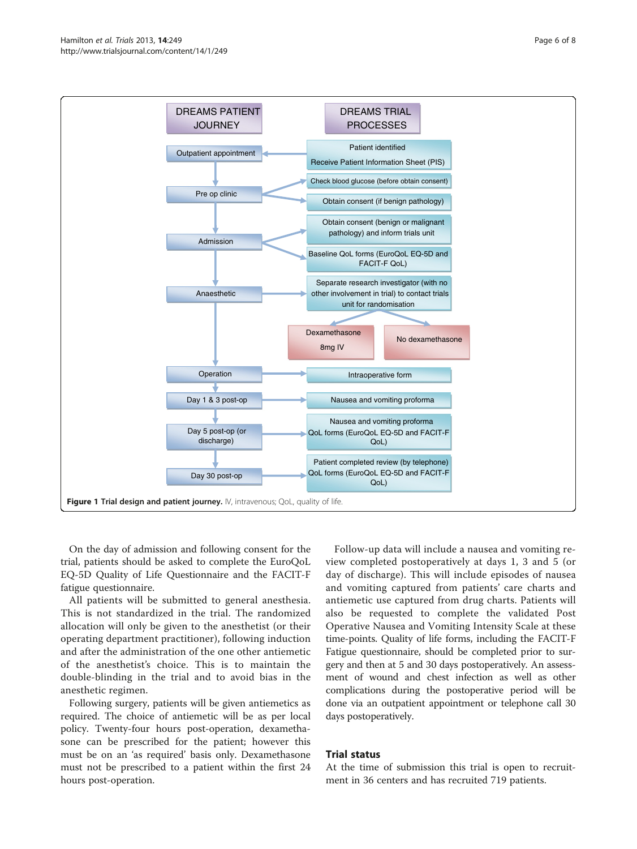<span id="page-5-0"></span>

On the day of admission and following consent for the trial, patients should be asked to complete the EuroQoL EQ-5D Quality of Life Questionnaire and the FACIT-F fatigue questionnaire.

All patients will be submitted to general anesthesia. This is not standardized in the trial. The randomized allocation will only be given to the anesthetist (or their operating department practitioner), following induction and after the administration of the one other antiemetic of the anesthetist's choice. This is to maintain the double-blinding in the trial and to avoid bias in the anesthetic regimen.

Following surgery, patients will be given antiemetics as required. The choice of antiemetic will be as per local policy. Twenty-four hours post-operation, dexamethasone can be prescribed for the patient; however this must be on an 'as required' basis only. Dexamethasone must not be prescribed to a patient within the first 24 hours post-operation.

Follow-up data will include a nausea and vomiting review completed postoperatively at days 1, 3 and 5 (or day of discharge). This will include episodes of nausea and vomiting captured from patients' care charts and antiemetic use captured from drug charts. Patients will also be requested to complete the validated Post Operative Nausea and Vomiting Intensity Scale at these time-points. Quality of life forms, including the FACIT-F Fatigue questionnaire, should be completed prior to surgery and then at 5 and 30 days postoperatively. An assessment of wound and chest infection as well as other complications during the postoperative period will be done via an outpatient appointment or telephone call 30 days postoperatively.

#### Trial status

At the time of submission this trial is open to recruitment in 36 centers and has recruited 719 patients.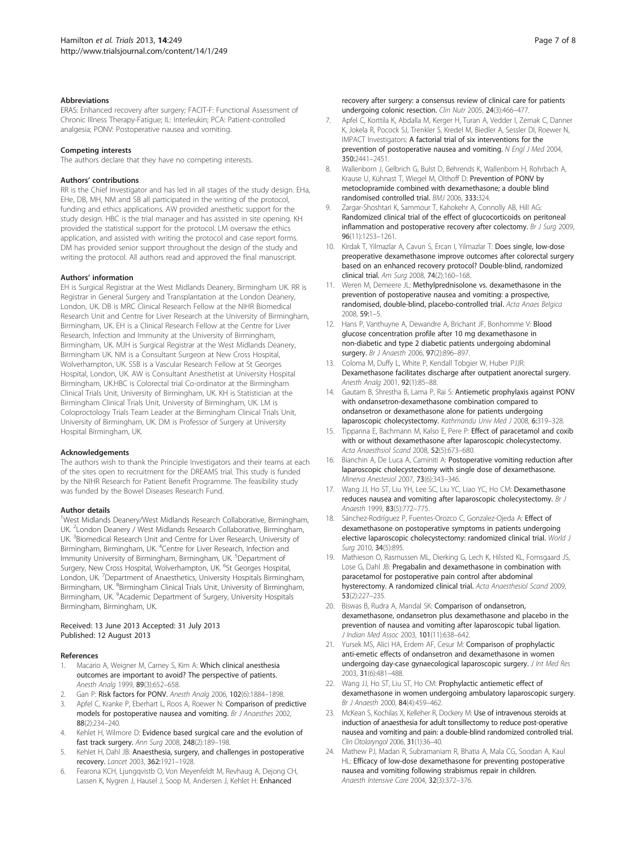#### <span id="page-6-0"></span>**Abbreviations**

ERAS: Enhanced recovery after surgery; FACIT-F: Functional Assessment of Chronic Illness Therapy-Fatigue; IL: Interleukin; PCA: Patient-controlled analgesia; PONV: Postoperative nausea and vomiting.

#### Competing interests

The authors declare that they have no competing interests.

#### Authors' contributions

RR is the Chief Investigator and has led in all stages of the study design. EHa, EHe, DB, MH, NM and SB all participated in the writing of the protocol, funding and ethics applications. AW provided anesthetic support for the study design. HBC is the trial manager and has assisted in site opening. KH provided the statistical support for the protocol. LM oversaw the ethics application, and assisted with writing the protocol and case report forms. DM has provided senior support throughout the design of the study and writing the protocol. All authors read and approved the final manuscript.

#### Authors' information

EH is Surgical Registrar at the West Midlands Deanery, Birmingham UK. RR is Registrar in General Surgery and Transplantation at the London Deanery, London, UK. DB is MRC Clinical Research Fellow at the NIHR Biomedical Research Unit and Centre for Liver Research at the University of Birmingham, Birmingham, UK. EH is a Clinical Research Fellow at the Centre for Liver Research, Infection and Immunity at the University of Birmingham, Birmingham, UK. MJH is Surgical Registrar at the West Midlands Deanery, Birmingham UK. NM is a Consultant Surgeon at New Cross Hospital, Wolverhampton, UK. SSB is a Vascular Research Fellow at St Georges Hospital, London, UK. AW is Consultant Anesthetist at University Hospital Birmingham, UK.HBC is Colorectal trial Co-ordinator at the Birmingham Clinical Trials Unit, University of Birmingham, UK. KH is Statistician at the Birmingham Clinical Trials Unit, University of Birmingham, UK. LM is Coloproctology Trials Team Leader at the Birmingham Clinical Trials Unit, University of Birmingham, UK. DM is Professor of Surgery at University Hospital Birmingham, UK.

#### Acknowledgements

The authors wish to thank the Principle Investigators and their teams at each of the sites open to recruitment for the DREAMS trial. This study is funded by the NIHR Research for Patient Benefit Programme. The feasibility study was funded by the Bowel Diseases Research Fund.

#### Author details

<sup>1</sup>West Midlands Deanery/West Midlands Research Collaborative, Birmingham, UK. <sup>2</sup> London Deanery / West Midlands Research Collaborative, Birmingham, UK. <sup>3</sup> Biomedical Research Unit and Centre for Liver Research, University of Birmingham, Birmingham, UK. <sup>4</sup>Centre for Liver Research, Infection and Immunity University of Birmingham, Birmingham, UK. <sup>5</sup>Department of Surgery, New Cross Hospital, Wolverhampton, UK. <sup>6</sup>St Georges Hospital, London, UK. <sup>7</sup>Department of Anaesthetics, University Hospitals Birmingham, Birmingham, UK. <sup>8</sup>Birmingham Clinical Trials Unit, University of Birmingham, Birmingham, UK. <sup>9</sup>Academic Department of Surgery, University Hospitals Birmingham, Birmingham, UK.

#### Received: 13 June 2013 Accepted: 31 July 2013 Published: 12 August 2013

#### References

- Macario A, Weigner M, Carney S, Kim A: Which clinical anesthesia outcomes are important to avoid? The perspective of patients. Anesth Analg 1999, 89(3):652–658.
- 2. Gan P: Risk factors for PONV. Anesth Analg 2006, 102(6):1884–1898.
- 3. Apfel C, Kranke P, Eberhart L, Roos A, Roewer N: Comparison of predictive models for postoperative nausea and vomiting. Br J Anaesthes 2002, 88(2):234–240.
- 4. Kehlet H, Wilmore D: Evidence based surgical care and the evolution of fast track surgery. Ann Surg 2008, 248(2):189–198.
- Kehlet H, Dahl JB: Anaesthesia, surgery, and challenges in postoperative recovery. Lancet 2003, 362:1921–1928.
- 6. Fearona KCH, Ljungqvistb O, Von Meyenfeldt M, Revhaug A, Dejong CH, Lassen K, Nygren J, Hausel J, Soop M, Andersen J, Kehlet H: Enhanced

recovery after surgery: a consensus review of clinical care for patients undergoing colonic resection. Clin Nutr 2005, 24(3):466–477.

- 7. Apfel C, Korttila K, Abdalla M, Kerger H, Turan A, Vedder I, Zernak C, Danner K, Jokela R, Pocock SJ, Trenkler S, Kredel M, Biedler A, Sessler DI, Roewer N, IMPACT Investigators: A factorial trial of six interventions for the prevention of postoperative nausea and vomiting. N Engl J Med 2004, 350:2441–2451.
- 8. Wallenborn J, Gelbrich G, Bulst D, Behrends K, Wallenborn H, Rohrbach A, Krause U, Kühnast T, Wiegel M, Olthoff D: Prevention of PONV by metoclopramide combined with dexamethasone; a double blind randomised controlled trial. BMJ 2006, 333:324.
- 9. Zargar-Shoshtari K, Sammour T, Kahokehr A, Connolly AB, Hill AG: Randomized clinical trial of the effect of glucocorticoids on peritoneal inflammation and postoperative recovery after colectomy. Br J Surg 2009, 96(11):1253–1261.
- 10. Kirdak T, Yilmazlar A, Cavun S, Ercan I, Yilmazlar T: Does single, low-dose preoperative dexamethasone improve outcomes after colorectal surgery based on an enhanced recovery protocol? Double-blind, randomized clinical trial. Am Surg 2008, 74(2):160–168.
- 11. Weren M, Demeere JL: Methylprednisolone vs. dexamethasone in the prevention of postoperative nausea and vomiting: a prospective, randomised, double-blind, placebo-controlled trial. Acta Anaes Belgica 2008, 59:1–5.
- 12. Hans P, Vanthuyne A, Dewandre A, Brichant JF, Bonhomme V: Blood glucose concentration profile after 10 mg dexamethasone in non-diabetic and type 2 diabetic patients undergoing abdominal surgery. Br J Anaesth 2006, 97(2):896-897.
- 13. Coloma M, Duffy L, White P, Kendall Tobgier W, Huber PJJR: Dexamethasone facilitates discharge after outpatient anorectal surgery. Anesth Analg 2001, 92(1):85–88.
- 14. Gautam B, Shrestha B, Lama P, Rai S: Antiemetic prophylaxis against PONV with ondansetron-dexamethasone combination compared to ondansetron or dexamethasone alone for patients undergoing laparoscopic cholecystectomy. Kathmandu Univ Med J 2008, 6:319-328.
- 15. Tippanna E, Bachmann M, Kalso E, Pere P: Effect of paracetamol and coxib with or without dexamethasone after laparoscopic cholecystectomy. Acta Anaesthsiol Scand 2008, 52(5):673–680.
- 16. Bianchin A, De Luca A, Caminiti A: Postoperative vomiting reduction after laparoscopic cholecystectomy with single dose of dexamethasone. Minerva Anestesiol 2007, 73(6):343–346.
- 17. Wang JJ, Ho ST, Liu YH, Lee SC, Liu YC, Liao YC, Ho CM: Dexamethasone reduces nausea and vomiting after laparoscopic cholecystectomy. Br J Anaesth 1999, 83(5):772-775.
- 18. Sánchez-Rodríguez P, Fuentes-Orozco C, Gonzalez-Ojeda A: Effect of dexamethasone on postoperative symptoms in patients undergoing elective laparoscopic cholecystectomy: randomized clinical trial. World J Surg 2010, 34(5):895.
- 19. Mathieson O, Rasmussen ML, Dierking G, Lech K, Hilsted KL, Fomsgaard JS, Lose G, Dahl JB: Pregabalin and dexamethasone in combination with paracetamol for postoperative pain control after abdominal hysterectomy. A randomized clinical trial. Acta Anaesthesiol Scand 2009, 53(2):227–235.
- 20. Biswas B, Rudra A, Mandal SK: Comparison of ondansetron, dexamethasone, ondansetron plus dexamethasone and placebo in the prevention of nausea and vomiting after laparoscopic tubal ligation. J Indian Med Assoc 2003, 101(11):638–642.
- 21. Yursek MS, Alici HA, Erdem AF, Cesur M: Comparison of prophylactic anti-emetic effects of ondansetron and dexamethasone in women undergoing day-case gynaecological laparoscopic surgery. J Int Med Res 2003, 31(6):481–488.
- 22. Wang JJ, Ho ST, Liu ST, Ho CM: Prophylactic antiemetic effect of dexamethasone in women undergoing ambulatory laparoscopic surgery. Br J Anaesth 2000, 84(4):459–462.
- 23. McKean S, Kochilas X, Kelleher R, Dockery M: Use of intravenous steroids at induction of anaesthesia for adult tonsillectomy to reduce post-operative nausea and vomiting and pain: a double-blind randomized controlled trial. Clin Otolaryngol 2006, 31(1):36–40.
- 24. Mathew PJ, Madan R, Subramaniam R, Bhatia A, Mala CG, Soodan A, Kaul HL: Efficacy of low-dose dexamethasone for preventing postoperative nausea and vomiting following strabismus repair in children. Anaesth Intensive Care 2004, 32(3):372–376.